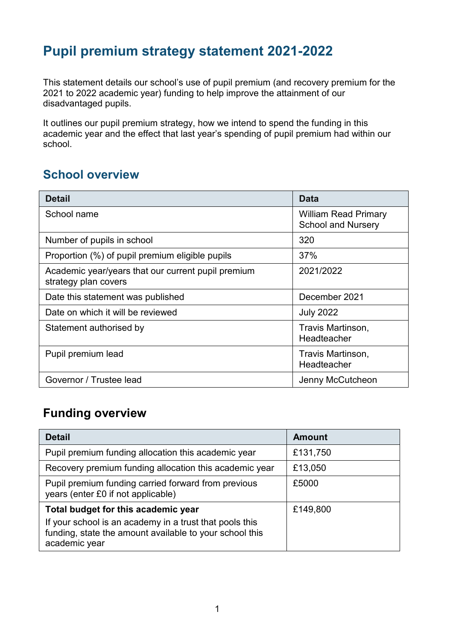## **Pupil premium strategy statement 2021-2022**

This statement details our school's use of pupil premium (and recovery premium for the 2021 to 2022 academic year) funding to help improve the attainment of our disadvantaged pupils.

It outlines our pupil premium strategy, how we intend to spend the funding in this academic year and the effect that last year's spending of pupil premium had within our school.

#### **School overview**

| <b>Detail</b>                                                              | <b>Data</b>                                              |
|----------------------------------------------------------------------------|----------------------------------------------------------|
| School name                                                                | <b>William Read Primary</b><br><b>School and Nursery</b> |
| Number of pupils in school                                                 | 320                                                      |
| Proportion (%) of pupil premium eligible pupils                            | 37%                                                      |
| Academic year/years that our current pupil premium<br>strategy plan covers | 2021/2022                                                |
| Date this statement was published                                          | December 2021                                            |
| Date on which it will be reviewed                                          | <b>July 2022</b>                                         |
| Statement authorised by                                                    | Travis Martinson,<br>Headteacher                         |
| Pupil premium lead                                                         | Travis Martinson,<br>Headteacher                         |
| Governor / Trustee lead                                                    | Jenny McCutcheon                                         |

#### **Funding overview**

| <b>Detail</b>                                                                                                                       | <b>Amount</b> |
|-------------------------------------------------------------------------------------------------------------------------------------|---------------|
| Pupil premium funding allocation this academic year                                                                                 | £131,750      |
| Recovery premium funding allocation this academic year                                                                              | £13,050       |
| Pupil premium funding carried forward from previous<br>years (enter £0 if not applicable)                                           | £5000         |
| Total budget for this academic year                                                                                                 | £149,800      |
| If your school is an academy in a trust that pools this<br>funding, state the amount available to your school this<br>academic year |               |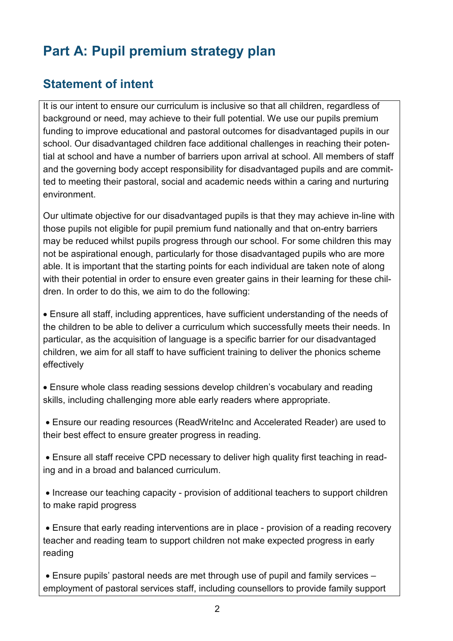# **Part A: Pupil premium strategy plan**

#### **Statement of intent**

It is our intent to ensure our curriculum is inclusive so that all children, regardless of background or need, may achieve to their full potential. We use our pupils premium funding to improve educational and pastoral outcomes for disadvantaged pupils in our school. Our disadvantaged children face additional challenges in reaching their potential at school and have a number of barriers upon arrival at school. All members of staff and the governing body accept responsibility for disadvantaged pupils and are committed to meeting their pastoral, social and academic needs within a caring and nurturing environment.

Our ultimate objective for our disadvantaged pupils is that they may achieve in-line with those pupils not eligible for pupil premium fund nationally and that on-entry barriers may be reduced whilst pupils progress through our school. For some children this may not be aspirational enough, particularly for those disadvantaged pupils who are more able. It is important that the starting points for each individual are taken note of along with their potential in order to ensure even greater gains in their learning for these children. In order to do this, we aim to do the following:

• Ensure all staff, including apprentices, have sufficient understanding of the needs of the children to be able to deliver a curriculum which successfully meets their needs. In particular, as the acquisition of language is a specific barrier for our disadvantaged children, we aim for all staff to have sufficient training to deliver the phonics scheme effectively

• Ensure whole class reading sessions develop children's vocabulary and reading skills, including challenging more able early readers where appropriate.

• Ensure our reading resources (ReadWriteInc and Accelerated Reader) are used to their best effect to ensure greater progress in reading.

• Ensure all staff receive CPD necessary to deliver high quality first teaching in reading and in a broad and balanced curriculum.

• Increase our teaching capacity - provision of additional teachers to support children to make rapid progress

• Ensure that early reading interventions are in place - provision of a reading recovery teacher and reading team to support children not make expected progress in early reading

• Ensure pupils' pastoral needs are met through use of pupil and family services – employment of pastoral services staff, including counsellors to provide family support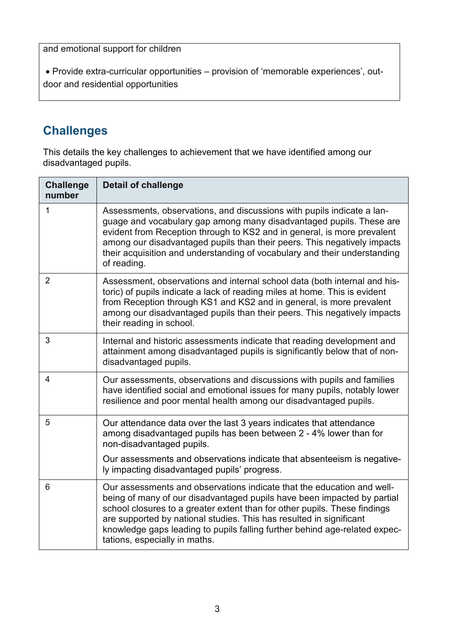and emotional support for children

• Provide extra-curricular opportunities – provision of 'memorable experiences', outdoor and residential opportunities

### **Challenges**

This details the key challenges to achievement that we have identified among our disadvantaged pupils.

| <b>Challenge</b><br>number | <b>Detail of challenge</b>                                                                                                                                                                                                                                                                                                                                                                                           |
|----------------------------|----------------------------------------------------------------------------------------------------------------------------------------------------------------------------------------------------------------------------------------------------------------------------------------------------------------------------------------------------------------------------------------------------------------------|
| 1                          | Assessments, observations, and discussions with pupils indicate a lan-<br>guage and vocabulary gap among many disadvantaged pupils. These are<br>evident from Reception through to KS2 and in general, is more prevalent<br>among our disadvantaged pupils than their peers. This negatively impacts<br>their acquisition and understanding of vocabulary and their understanding<br>of reading.                     |
| $\overline{2}$             | Assessment, observations and internal school data (both internal and his-<br>toric) of pupils indicate a lack of reading miles at home. This is evident<br>from Reception through KS1 and KS2 and in general, is more prevalent<br>among our disadvantaged pupils than their peers. This negatively impacts<br>their reading in school.                                                                              |
| 3                          | Internal and historic assessments indicate that reading development and<br>attainment among disadvantaged pupils is significantly below that of non-<br>disadvantaged pupils.                                                                                                                                                                                                                                        |
| 4                          | Our assessments, observations and discussions with pupils and families<br>have identified social and emotional issues for many pupils, notably lower<br>resilience and poor mental health among our disadvantaged pupils.                                                                                                                                                                                            |
| 5                          | Our attendance data over the last 3 years indicates that attendance<br>among disadvantaged pupils has been between 2 - 4% lower than for<br>non-disadvantaged pupils.                                                                                                                                                                                                                                                |
|                            | Our assessments and observations indicate that absenteeism is negative-<br>ly impacting disadvantaged pupils' progress.                                                                                                                                                                                                                                                                                              |
| 6                          | Our assessments and observations indicate that the education and well-<br>being of many of our disadvantaged pupils have been impacted by partial<br>school closures to a greater extent than for other pupils. These findings<br>are supported by national studies. This has resulted in significant<br>knowledge gaps leading to pupils falling further behind age-related expec-<br>tations, especially in maths. |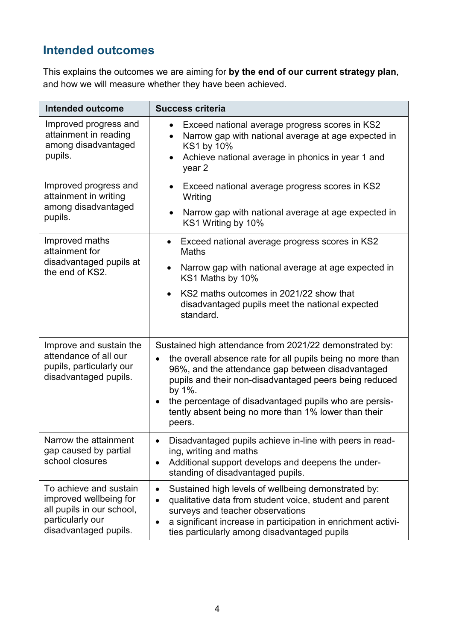### **Intended outcomes**

This explains the outcomes we are aiming for **by the end of our current strategy plan**, and how we will measure whether they have been achieved.

| <b>Intended outcome</b>                                                                                                    | <b>Success criteria</b>                                                                                                                                                                                                                                                                                         |
|----------------------------------------------------------------------------------------------------------------------------|-----------------------------------------------------------------------------------------------------------------------------------------------------------------------------------------------------------------------------------------------------------------------------------------------------------------|
| Improved progress and<br>attainment in reading<br>among disadvantaged<br>pupils.                                           | Exceed national average progress scores in KS2<br>$\bullet$<br>Narrow gap with national average at age expected in<br>$\bullet$<br>KS1 by 10%<br>Achieve national average in phonics in year 1 and<br>$\bullet$<br>year 2                                                                                       |
| Improved progress and<br>attainment in writing<br>among disadvantaged<br>pupils.                                           | Exceed national average progress scores in KS2<br>$\bullet$<br>Writing<br>Narrow gap with national average at age expected in<br>$\bullet$<br>KS1 Writing by 10%                                                                                                                                                |
| Improved maths<br>attainment for                                                                                           | Exceed national average progress scores in KS2<br>$\bullet$<br><b>Maths</b>                                                                                                                                                                                                                                     |
| disadvantaged pupils at<br>the end of KS2.                                                                                 | Narrow gap with national average at age expected in<br>KS1 Maths by 10%                                                                                                                                                                                                                                         |
|                                                                                                                            | KS2 maths outcomes in 2021/22 show that<br>$\bullet$<br>disadvantaged pupils meet the national expected<br>standard.                                                                                                                                                                                            |
| Improve and sustain the                                                                                                    | Sustained high attendance from 2021/22 demonstrated by:                                                                                                                                                                                                                                                         |
| attendance of all our<br>pupils, particularly our<br>disadvantaged pupils.                                                 | the overall absence rate for all pupils being no more than<br>96%, and the attendance gap between disadvantaged<br>pupils and their non-disadvantaged peers being reduced<br>by 1%.<br>the percentage of disadvantaged pupils who are persis-<br>tently absent being no more than 1% lower than their<br>peers. |
| Narrow the attainment<br>gap caused by partial<br>school closures                                                          | Disadvantaged pupils achieve in-line with peers in read-<br>ing, writing and maths<br>Additional support develops and deepens the under-<br>$\bullet$<br>standing of disadvantaged pupils.                                                                                                                      |
| To achieve and sustain<br>improved wellbeing for<br>all pupils in our school,<br>particularly our<br>disadvantaged pupils. | Sustained high levels of wellbeing demonstrated by:<br>qualitative data from student voice, student and parent<br>$\bullet$<br>surveys and teacher observations<br>a significant increase in participation in enrichment activi-<br>ties particularly among disadvantaged pupils                                |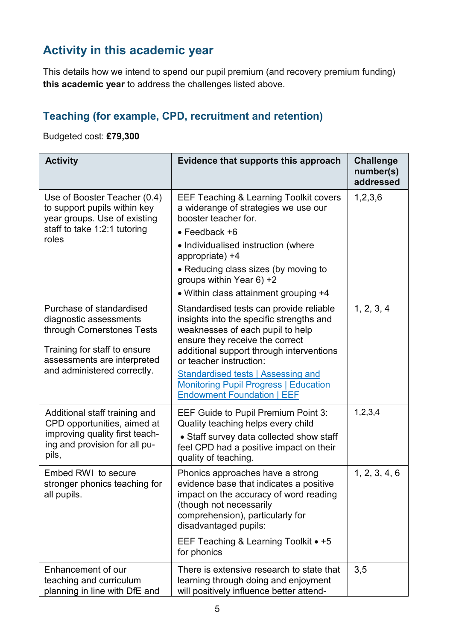### **Activity in this academic year**

This details how we intend to spend our pupil premium (and recovery premium funding) **this academic year** to address the challenges listed above.

#### **Teaching (for example, CPD, recruitment and retention)**

Budgeted cost: **£79,300**

| <b>Activity</b>                                                                                                                                                                | Evidence that supports this approach                                                                                                                                                                                                                                                                                                                         | <b>Challenge</b><br>number(s)<br>addressed |
|--------------------------------------------------------------------------------------------------------------------------------------------------------------------------------|--------------------------------------------------------------------------------------------------------------------------------------------------------------------------------------------------------------------------------------------------------------------------------------------------------------------------------------------------------------|--------------------------------------------|
| Use of Booster Teacher (0.4)<br>to support pupils within key<br>year groups. Use of existing                                                                                   | <b>EEF Teaching &amp; Learning Toolkit covers</b><br>a widerange of strategies we use our<br>booster teacher for.                                                                                                                                                                                                                                            | 1,2,3,6                                    |
| staff to take 1:2:1 tutoring<br>roles                                                                                                                                          | $\bullet$ Feedback +6                                                                                                                                                                                                                                                                                                                                        |                                            |
|                                                                                                                                                                                | • Individualised instruction (where<br>appropriate) +4                                                                                                                                                                                                                                                                                                       |                                            |
|                                                                                                                                                                                | • Reducing class sizes (by moving to<br>groups within Year 6) +2                                                                                                                                                                                                                                                                                             |                                            |
|                                                                                                                                                                                | • Within class attainment grouping +4                                                                                                                                                                                                                                                                                                                        |                                            |
| Purchase of standardised<br>diagnostic assessments<br>through Cornerstones Tests<br>Training for staff to ensure<br>assessments are interpreted<br>and administered correctly. | Standardised tests can provide reliable<br>insights into the specific strengths and<br>weaknesses of each pupil to help<br>ensure they receive the correct<br>additional support through interventions<br>or teacher instruction:<br>Standardised tests   Assessing and<br><b>Monitoring Pupil Progress   Education</b><br><b>Endowment Foundation   EEF</b> | 1, 2, 3, 4                                 |
| Additional staff training and<br>CPD opportunities, aimed at<br>improving quality first teach-<br>ing and provision for all pu-<br>pils,                                       | <b>EEF Guide to Pupil Premium Point 3:</b><br>Quality teaching helps every child<br>• Staff survey data collected show staff<br>feel CPD had a positive impact on their<br>quality of teaching.                                                                                                                                                              | 1, 2, 3, 4                                 |
| Embed RWI to secure<br>stronger phonics teaching for<br>all pupils.                                                                                                            | Phonics approaches have a strong<br>evidence base that indicates a positive<br>impact on the accuracy of word reading<br>(though not necessarily<br>comprehension), particularly for<br>disadvantaged pupils:<br>EEF Teaching & Learning Toolkit • +5                                                                                                        | 1, 2, 3, 4, 6                              |
|                                                                                                                                                                                | for phonics                                                                                                                                                                                                                                                                                                                                                  |                                            |
| Enhancement of our<br>teaching and curriculum<br>planning in line with DfE and                                                                                                 | There is extensive research to state that<br>learning through doing and enjoyment<br>will positively influence better attend-                                                                                                                                                                                                                                | 3,5                                        |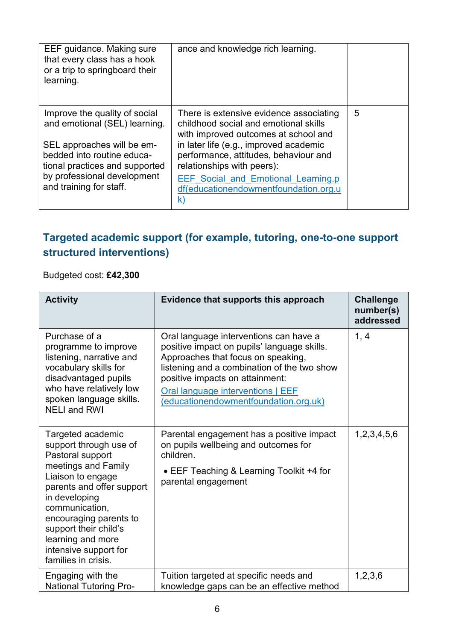| EEF guidance. Making sure<br>that every class has a hook<br>or a trip to springboard their<br>learning.                                                                                                                | ance and knowledge rich learning.                                                                                                                                                                                                                                                                                                             |   |
|------------------------------------------------------------------------------------------------------------------------------------------------------------------------------------------------------------------------|-----------------------------------------------------------------------------------------------------------------------------------------------------------------------------------------------------------------------------------------------------------------------------------------------------------------------------------------------|---|
| Improve the quality of social<br>and emotional (SEL) learning.<br>SEL approaches will be em-<br>bedded into routine educa-<br>tional practices and supported<br>by professional development<br>and training for staff. | There is extensive evidence associating<br>childhood social and emotional skills<br>with improved outcomes at school and<br>in later life (e.g., improved academic<br>performance, attitudes, behaviour and<br>relationships with peers):<br><b>EEF Social and Emotional Learning.p</b><br>df(educationendowmentfoundation.org.u<br><u>k)</u> | 5 |

#### **Targeted academic support (for example, tutoring, one-to-one support structured interventions)**

Budgeted cost: **£42,300**

| <b>Activity</b>                                                                                                                                                                                                                                                                                     | Evidence that supports this approach                                                                                                                                                                                                                                                        | <b>Challenge</b><br>number(s)<br>addressed |
|-----------------------------------------------------------------------------------------------------------------------------------------------------------------------------------------------------------------------------------------------------------------------------------------------------|---------------------------------------------------------------------------------------------------------------------------------------------------------------------------------------------------------------------------------------------------------------------------------------------|--------------------------------------------|
| Purchase of a<br>programme to improve<br>listening, narrative and<br>vocabulary skills for<br>disadvantaged pupils<br>who have relatively low<br>spoken language skills.<br><b>NELI and RWI</b>                                                                                                     | Oral language interventions can have a<br>positive impact on pupils' language skills.<br>Approaches that focus on speaking,<br>listening and a combination of the two show<br>positive impacts on attainment:<br>Oral language interventions   EEF<br>(educationendowmentfoundation.org.uk) | 1, 4                                       |
| Targeted academic<br>support through use of<br>Pastoral support<br>meetings and Family<br>Liaison to engage<br>parents and offer support<br>in developing<br>communication,<br>encouraging parents to<br>support their child's<br>learning and more<br>intensive support for<br>families in crisis. | Parental engagement has a positive impact<br>on pupils wellbeing and outcomes for<br>children.<br>• EEF Teaching & Learning Toolkit +4 for<br>parental engagement                                                                                                                           | 1,2,3,4,5,6                                |
| Engaging with the<br><b>National Tutoring Pro-</b>                                                                                                                                                                                                                                                  | Tuition targeted at specific needs and<br>knowledge gaps can be an effective method                                                                                                                                                                                                         | 1,2,3,6                                    |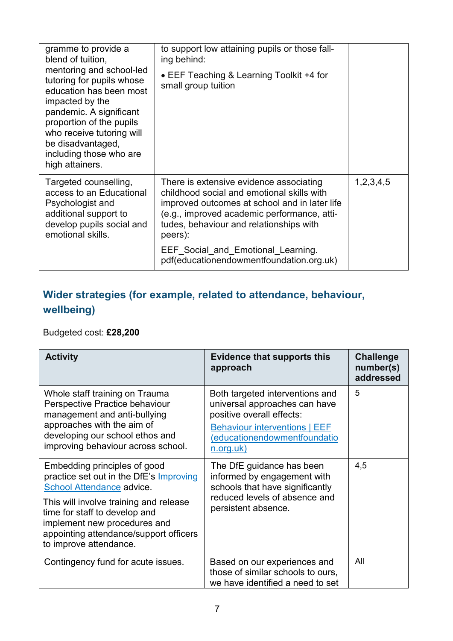| gramme to provide a<br>blend of tuition,<br>mentoring and school-led<br>tutoring for pupils whose<br>education has been most<br>impacted by the<br>pandemic. A significant<br>proportion of the pupils<br>who receive tutoring will<br>be disadvantaged,<br>including those who are<br>high attainers. | to support low attaining pupils or those fall-<br>ing behind:<br>• EEF Teaching & Learning Toolkit +4 for<br>small group tuition                                                                                                                                                                                              |           |
|--------------------------------------------------------------------------------------------------------------------------------------------------------------------------------------------------------------------------------------------------------------------------------------------------------|-------------------------------------------------------------------------------------------------------------------------------------------------------------------------------------------------------------------------------------------------------------------------------------------------------------------------------|-----------|
| Targeted counselling,<br>access to an Educational<br>Psychologist and<br>additional support to<br>develop pupils social and<br>emotional skills.                                                                                                                                                       | There is extensive evidence associating<br>childhood social and emotional skills with<br>improved outcomes at school and in later life<br>(e.g., improved academic performance, atti-<br>tudes, behaviour and relationships with<br>peers):<br>EEF Social and Emotional Learning.<br>pdf(educationendowmentfoundation.org.uk) | 1,2,3,4,5 |

#### **Wider strategies (for example, related to attendance, behaviour, wellbeing)**

Budgeted cost: **£28,200**

| <b>Activity</b>                                                                                                                                                                                                                                                                     | <b>Evidence that supports this</b><br>approach                                                                                                                                            | <b>Challenge</b><br>number(s)<br>addressed |
|-------------------------------------------------------------------------------------------------------------------------------------------------------------------------------------------------------------------------------------------------------------------------------------|-------------------------------------------------------------------------------------------------------------------------------------------------------------------------------------------|--------------------------------------------|
| Whole staff training on Trauma<br>Perspective Practice behaviour<br>management and anti-bullying<br>approaches with the aim of<br>developing our school ethos and<br>improving behaviour across school.                                                                             | Both targeted interventions and<br>universal approaches can have<br>positive overall effects:<br><b>Behaviour interventions   EEF</b><br>(educationendowmentfoundatio<br><u>n.org.uk)</u> | 5                                          |
| Embedding principles of good<br>practice set out in the DfE's Improving<br>School Attendance advice.<br>This will involve training and release<br>time for staff to develop and<br>implement new procedures and<br>appointing attendance/support officers<br>to improve attendance. | The DfE guidance has been<br>informed by engagement with<br>schools that have significantly<br>reduced levels of absence and<br>persistent absence.                                       | 4,5                                        |
| Contingency fund for acute issues.                                                                                                                                                                                                                                                  | Based on our experiences and<br>those of similar schools to ours,<br>we have identified a need to set                                                                                     | All                                        |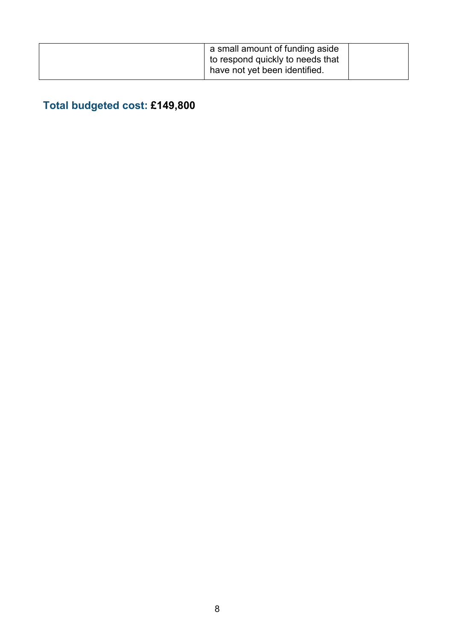| have not yet been identified. |
|-------------------------------|
|-------------------------------|

### **Total budgeted cost: £149,800**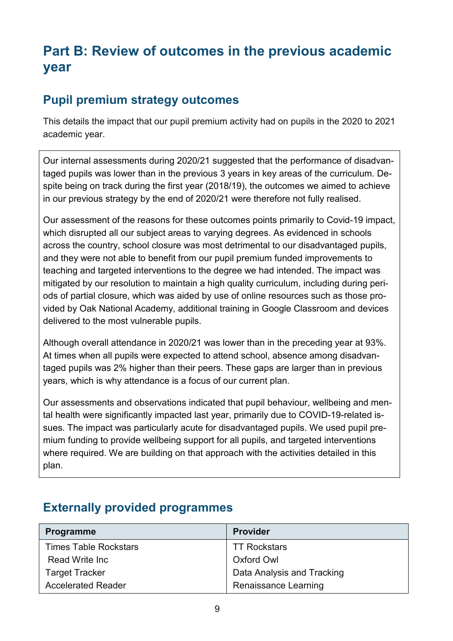## **Part B: Review of outcomes in the previous academic year**

#### **Pupil premium strategy outcomes**

This details the impact that our pupil premium activity had on pupils in the 2020 to 2021 academic year.

Our internal assessments during 2020/21 suggested that the performance of disadvantaged pupils was lower than in the previous 3 years in key areas of the curriculum. Despite being on track during the first year (2018/19), the outcomes we aimed to achieve in our previous strategy by the end of 2020/21 were therefore not fully realised.

Our assessment of the reasons for these outcomes points primarily to Covid-19 impact, which disrupted all our subject areas to varying degrees. As evidenced in schools across the country, school closure was most detrimental to our disadvantaged pupils, and they were not able to benefit from our pupil premium funded improvements to teaching and targeted interventions to the degree we had intended. The impact was mitigated by our resolution to maintain a high quality curriculum, including during periods of partial closure, which was aided by use of online resources such as those provided by Oak National Academy, additional training in Google Classroom and devices delivered to the most vulnerable pupils.

Although overall attendance in 2020/21 was lower than in the preceding year at 93%. At times when all pupils were expected to attend school, absence among disadvantaged pupils was 2% higher than their peers. These gaps are larger than in previous years, which is why attendance is a focus of our current plan.

Our assessments and observations indicated that pupil behaviour, wellbeing and mental health were significantly impacted last year, primarily due to COVID-19-related issues. The impact was particularly acute for disadvantaged pupils. We used pupil premium funding to provide wellbeing support for all pupils, and targeted interventions where required. We are building on that approach with the activities detailed in this plan.

| Programme                    | <b>Provider</b>            |
|------------------------------|----------------------------|
| <b>Times Table Rockstars</b> | <b>TT Rockstars</b>        |
| <b>Read Write Inc.</b>       | Oxford Owl                 |
| <b>Target Tracker</b>        | Data Analysis and Tracking |
| <b>Accelerated Reader</b>    | Renaissance Learning       |

### **Externally provided programmes**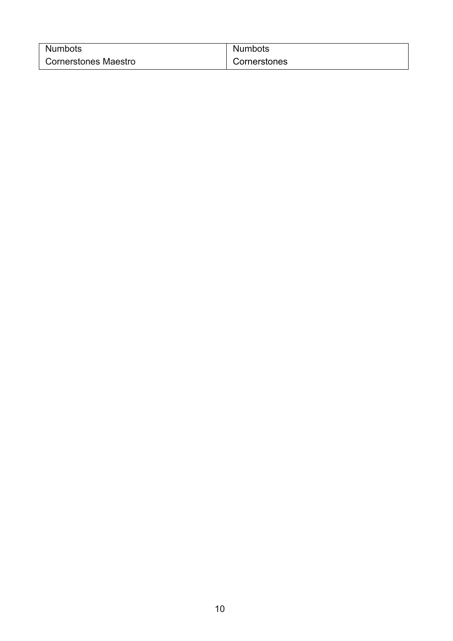| <b>Numbots</b>       | <b>Numbots</b> |
|----------------------|----------------|
| Cornerstones Maestro | Cornerstones   |